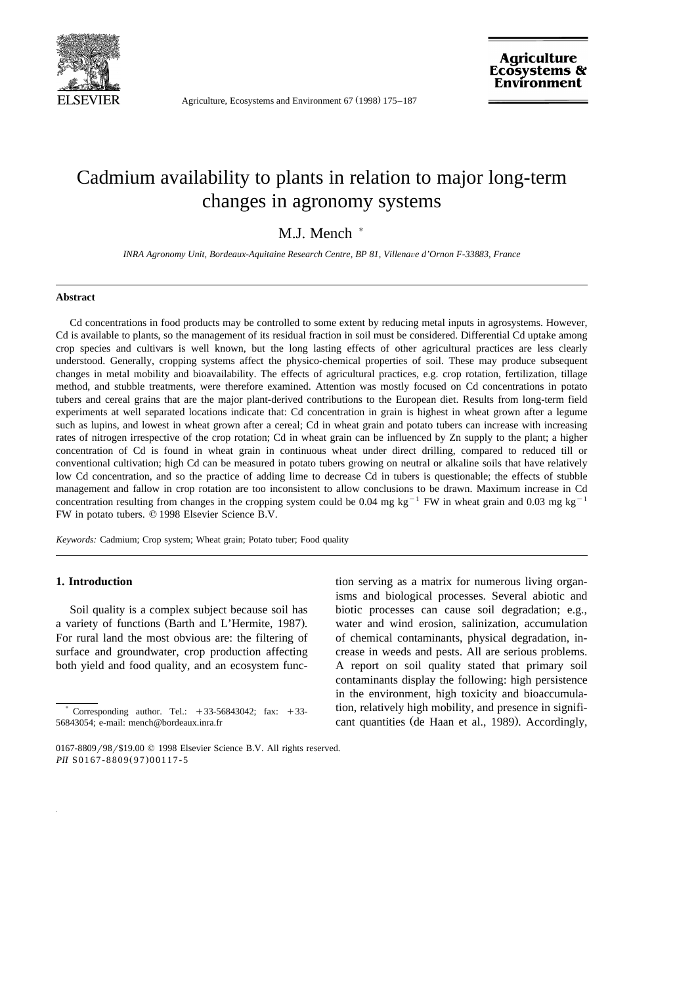

Agriculture, Ecosystems and Environment 67 (1998) 175–187

# Cadmium availability to plants in relation to major long-term changes in agronomy systems

# M.J. Mench  $*$

*INRA Agronomy Unit, Bordeaux-Aquitaine Research Centre, BP 81, Villenave d'Ornon F-33883, France* 

#### **Abstract**

Cd concentrations in food products may be controlled to some extent by reducing metal inputs in agrosystems. However, Cd is available to plants, so the management of its residual fraction in soil must be considered. Differential Cd uptake among crop species and cultivars is well known, but the long lasting effects of other agricultural practices are less clearly understood. Generally, cropping systems affect the physico-chemical properties of soil. These may produce subsequent changes in metal mobility and bioavailability. The effects of agricultural practices, e.g. crop rotation, fertilization, tillage method, and stubble treatments, were therefore examined. Attention was mostly focused on Cd concentrations in potato tubers and cereal grains that are the major plant-derived contributions to the European diet. Results from long-term field experiments at well separated locations indicate that: Cd concentration in grain is highest in wheat grown after a legume such as lupins, and lowest in wheat grown after a cereal; Cd in wheat grain and potato tubers can increase with increasing rates of nitrogen irrespective of the crop rotation; Cd in wheat grain can be influenced by Zn supply to the plant; a higher concentration of Cd is found in wheat grain in continuous wheat under direct drilling, compared to reduced till or conventional cultivation; high Cd can be measured in potato tubers growing on neutral or alkaline soils that have relatively low Cd concentration, and so the practice of adding lime to decrease Cd in tubers is questionable; the effects of stubble management and fallow in crop rotation are too inconsistent to allow conclusions to be drawn. Maximum increase in Cd concentration resulting from changes in the cropping system could be 0.04 mg kg<sup>-1</sup> FW in wheat grain and 0.03 mg kg<sup>-1</sup> FW in potato tubers.  $© 1998$  Elsevier Science B.V.

*Keywords:* Cadmium; Crop system; Wheat grain; Potato tuber; Food quality

# **1. Introduction**

Soil quality is a complex subject because soil has a variety of functions (Barth and L'Hermite, 1987). For rural land the most obvious are: the filtering of surface and groundwater, crop production affecting both yield and food quality, and an ecosystem func-

tion serving as a matrix for numerous living organisms and biological processes. Several abiotic and biotic processes can cause soil degradation; e.g., water and wind erosion, salinization, accumulation of chemical contaminants, physical degradation, increase in weeds and pests. All are serious problems. A report on soil quality stated that primary soil contaminants display the following: high persistence in the environment, high toxicity and bioaccumulation, relatively high mobility, and presence in significant quantities (de Haan et al., 1989). Accordingly,

Corresponding author. Tel.:  $+33-56843042$ ; fax:  $+33-$ 56843054; e-mail: mench@bordeaux.inra.fr

<sup>0167-8809/98/\$19.00 © 1998</sup> Elsevier Science B.V. All rights reserved. *PII* S0167-8809(97)00117-5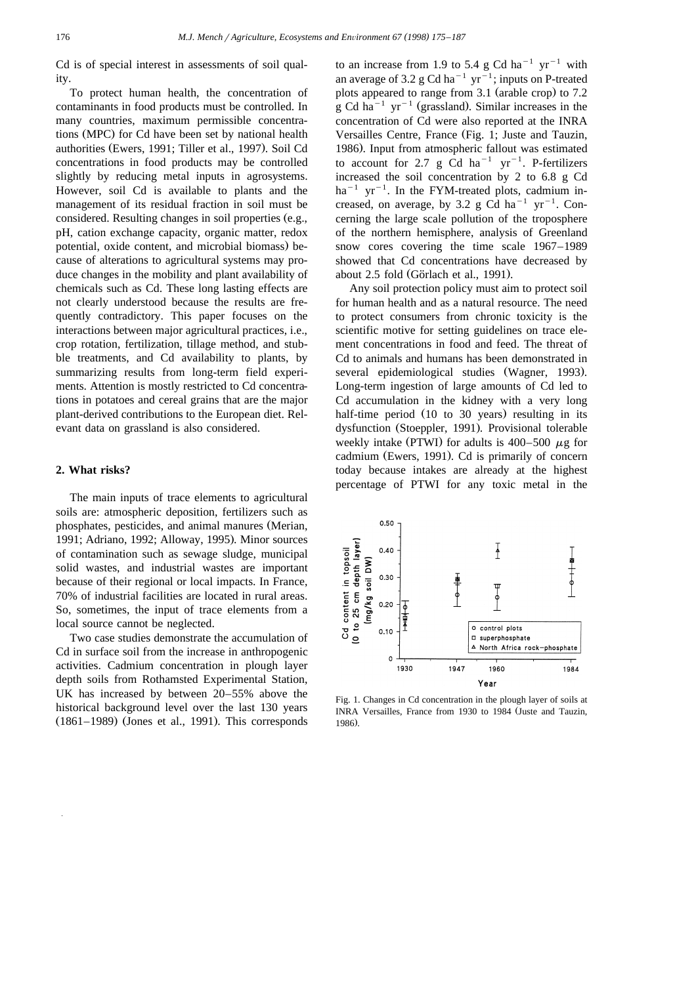Cd is of special interest in assessments of soil quality.

To protect human health, the concentration of contaminants in food products must be controlled. In many countries, maximum permissible concentrations (MPC) for Cd have been set by national health authorities (Ewers, 1991; Tiller et al., 1997). Soil Cd concentrations in food products may be controlled slightly by reducing metal inputs in agrosystems. However, soil Cd is available to plants and the management of its residual fraction in soil must be considered. Resulting changes in soil properties (e.g., pH, cation exchange capacity, organic matter, redox potential, oxide content, and microbial biomass) because of alterations to agricultural systems may produce changes in the mobility and plant availability of chemicals such as Cd. These long lasting effects are not clearly understood because the results are frequently contradictory. This paper focuses on the interactions between major agricultural practices, i.e., crop rotation, fertilization, tillage method, and stubble treatments, and Cd availability to plants, by summarizing results from long-term field experiments. Attention is mostly restricted to Cd concentrations in potatoes and cereal grains that are the major plant-derived contributions to the European diet. Relevant data on grassland is also considered.

# **2. What risks?**

The main inputs of trace elements to agricultural soils are: atmospheric deposition, fertilizers such as phosphates, pesticides, and animal manures (Merian, 1991; Adriano, 1992; Alloway, 1995). Minor sources of contamination such as sewage sludge, municipal solid wastes, and industrial wastes are important because of their regional or local impacts. In France, 70% of industrial facilities are located in rural areas. So, sometimes, the input of trace elements from a local source cannot be neglected.

Two case studies demonstrate the accumulation of Cd in surface soil from the increase in anthropogenic activities. Cadmium concentration in plough layer depth soils from Rothamsted Experimental Station, UK has increased by between 20–55% above the historical background level over the last 130 years  $(1861-1989)$  (Jones et al., 1991). This corresponds to an increase from 1.9 to 5.4 g Cd ha<sup>-1</sup> yr<sup>-1</sup> with an average of 3.2 g Cd ha<sup>-1</sup> yr<sup>-1</sup>; inputs on P-treated plots appeared to range from 3.1 (arable crop) to 7.2 g Cd ha<sup>-1</sup> yr<sup>-1</sup> (grassland). Similar increases in the concentration of Cd were also reported at the INRA Versailles Centre, France (Fig. 1; Juste and Tauzin, 1986). Input from atmospheric fallout was estimated to account for 2.7 g Cd ha<sup>-1</sup> yr<sup>-1</sup>. P-fertilizers increased the soil concentration by 2 to 6.8 g Cd ha<sup>-1</sup> yr<sup>-1</sup>. In the FYM-treated plots, cadmium increased, on average, by 3.2 g Cd ha<sup>-1</sup> yr<sup>-1</sup>. Concerning the large scale pollution of the troposphere of the northern hemisphere, analysis of Greenland snow cores covering the time scale 1967–1989 showed that Cd concentrations have decreased by about 2.5 fold (Görlach et al., 1991).

Any soil protection policy must aim to protect soil for human health and as a natural resource. The need to protect consumers from chronic toxicity is the scientific motive for setting guidelines on trace element concentrations in food and feed. The threat of Cd to animals and humans has been demonstrated in several epidemiological studies (Wagner, 1993). Long-term ingestion of large amounts of Cd led to Cd accumulation in the kidney with a very long half-time period  $(10 \text{ to } 30 \text{ years})$  resulting in its dysfunction (Stoeppler, 1991). Provisional tolerable weekly intake (PTWI) for adults is  $400-500 \mu g$  for cadmium (Ewers, 1991). Cd is primarily of concern today because intakes are already at the highest percentage of PTWI for any toxic metal in the



Fig. 1. Changes in Cd concentration in the plough layer of soils at INRA Versailles, France from 1930 to 1984 (Juste and Tauzin, 1986).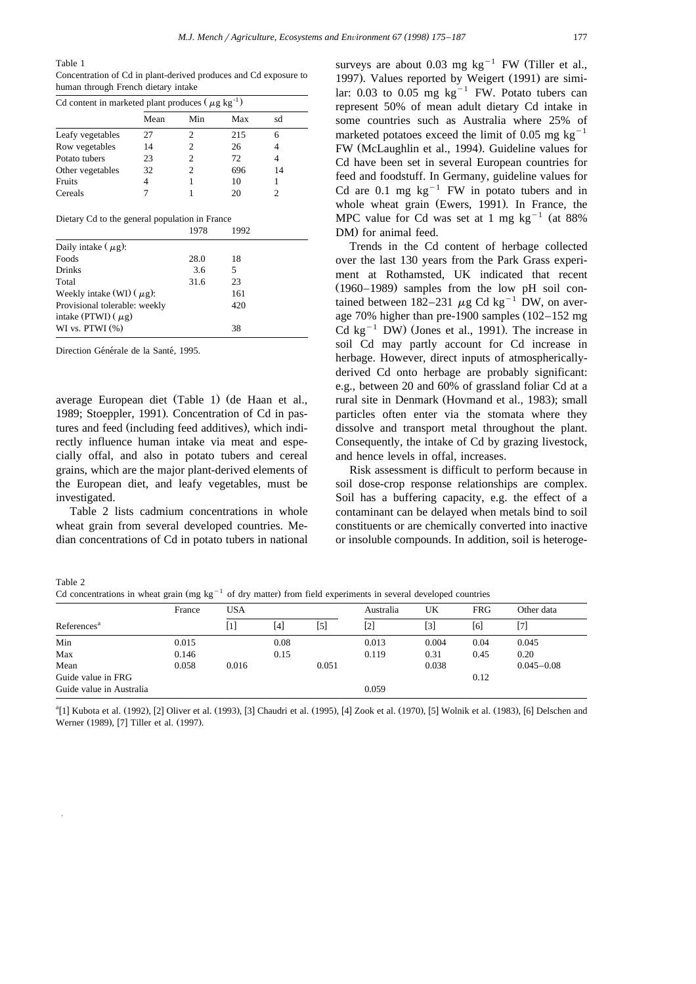Table 1

Concentration of Cd in plant-derived produces and Cd exposure to human through French dietary intake

| Cd content in marketed plant produces ( $\mu$ g kg <sup>-1</sup> ) |      |     |     |    |  |  |  |
|--------------------------------------------------------------------|------|-----|-----|----|--|--|--|
|                                                                    | Mean | Min | Max | sd |  |  |  |
| Leafy vegetables                                                   | 27   | 2   | 215 |    |  |  |  |
| Row vegetables                                                     | 14   | 2   | 26  |    |  |  |  |
| Potato tubers                                                      | 23   | 2   | 72  |    |  |  |  |
| Other vegetables                                                   | 32   | っ   | 696 | 14 |  |  |  |
| Fruits                                                             |      |     | 10  |    |  |  |  |
| Cereals                                                            |      |     | 20  |    |  |  |  |

Dietary Cd to the general population in France

|                                                          | 1978 | 1992 |  |
|----------------------------------------------------------|------|------|--|
| Daily intake $(\mu g)$ :                                 |      |      |  |
| Foods                                                    | 28.0 | 18   |  |
| <b>Drinks</b>                                            | 3.6  | 5    |  |
| Total                                                    | 31.6 | 23   |  |
| Weekly intake (WI) $(\mu g)$ :                           |      | 161  |  |
| Provisional tolerable: weekly<br>intake (PTWI) $(\mu$ g) |      | 420  |  |
| WI vs. PTWI $(\%)$                                       |      | 38   |  |

Direction Générale de la Santé, 1995.

 $T<sub>0</sub>$   $\mathbf{L}$   $\mathbf{L}$   $\mathbf{L}$   $\mathbf{L}$ 

average European diet (Table 1) (de Haan et al., 1989; Stoeppler, 1991). Concentration of Cd in pastures and feed (including feed additives), which indirectly influence human intake via meat and especially offal, and also in potato tubers and cereal grains, which are the major plant-derived elements of the European diet, and leafy vegetables, must be investigated.

Table 2 lists cadmium concentrations in whole wheat grain from several developed countries. Median concentrations of Cd in potato tubers in national

surveys are about 0.03 mg  $kg^{-1}$  FW (Tiller et al., 1997). Values reported by Weigert (1991) are similar: 0.03 to 0.05 mg  $kg^{-1}$  FW. Potato tubers can represent 50% of mean adult dietary Cd intake in some countries such as Australia where 25% of marketed potatoes exceed the limit of 0.05 mg  $kg^{-1}$ FW (McLaughlin et al., 1994). Guideline values for Cd have been set in several European countries for feed and foodstuff. In Germany, guideline values for Cd are 0.1 mg  $kg^{-1}$  FW in potato tubers and in whole wheat grain (Ewers, 1991). In France, the MPC value for Cd was set at 1 mg kg<sup>-1</sup> (at 88% DM) for animal feed.

Trends in the Cd content of herbage collected over the last 130 years from the Park Grass experiment at Rothamsted, UK indicated that recent  $(1960-1989)$  samples from the low pH soil contained between 182–231  $\mu$ g Cd kg<sup>-1</sup> DW, on average 70% higher than pre-1900 samples  $(102-152 \text{ mg})$ <br>Cd kg<sup>-1</sup> DW) (Jones et al., 1991). The increase in soil Cd may partly account for Cd increase in herbage. However, direct inputs of atmosphericallyderived Cd onto herbage are probably significant: e.g., between 20 and 60% of grassland foliar Cd at a rural site in Denmark (Hovmand et al., 1983); small particles often enter via the stomata where they dissolve and transport metal throughout the plant. Consequently, the intake of Cd by grazing livestock, and hence levels in offal, increases.

Risk assessment is difficult to perform because in soil dose-crop response relationships are complex. Soil has a buffering capacity, e.g. the effect of a contaminant can be delayed when metals bind to soil constituents or are chemically converted into inactive or insoluble compounds. In addition, soil is heteroge-

| $1$ ave $\angle$<br>Cd concentrations in wheat grain (mg kg <sup>-1</sup> of dry matter) from field experiments in several developed countries |       |           |      |     |            |
|------------------------------------------------------------------------------------------------------------------------------------------------|-------|-----------|------|-----|------------|
| France                                                                                                                                         | - USA | Australia | UK – | FRG | Other data |

|                          | France | USA   |      |       | Australia | UK    | FRG  | Other data     |
|--------------------------|--------|-------|------|-------|-----------|-------|------|----------------|
| References <sup>a</sup>  |        | [1]   | [4]  | [5]   | [2]       | [3]   | [6]  | 「7】            |
| Min                      | 0.015  |       | 0.08 |       | 0.013     | 0.004 | 0.04 | 0.045          |
| Max                      | 0.146  |       | 0.15 |       | 0.119     | 0.31  | 0.45 | 0.20           |
| Mean                     | 0.058  | 0.016 |      | 0.051 |           | 0.038 |      | $0.045 - 0.08$ |
| Guide value in FRG       |        |       |      |       |           |       | 0.12 |                |
| Guide value in Australia |        |       |      |       | 0.059     |       |      |                |

 ${}^{4}[1]$  Kubota et al. (1992), [2] Oliver et al. (1993), [3] Chaudri et al. (1995), [4] Zook et al. (1970), [5] Wolnik et al. (1983), [6] Delschen and Werner (1989), [7] Tiller et al. (1997).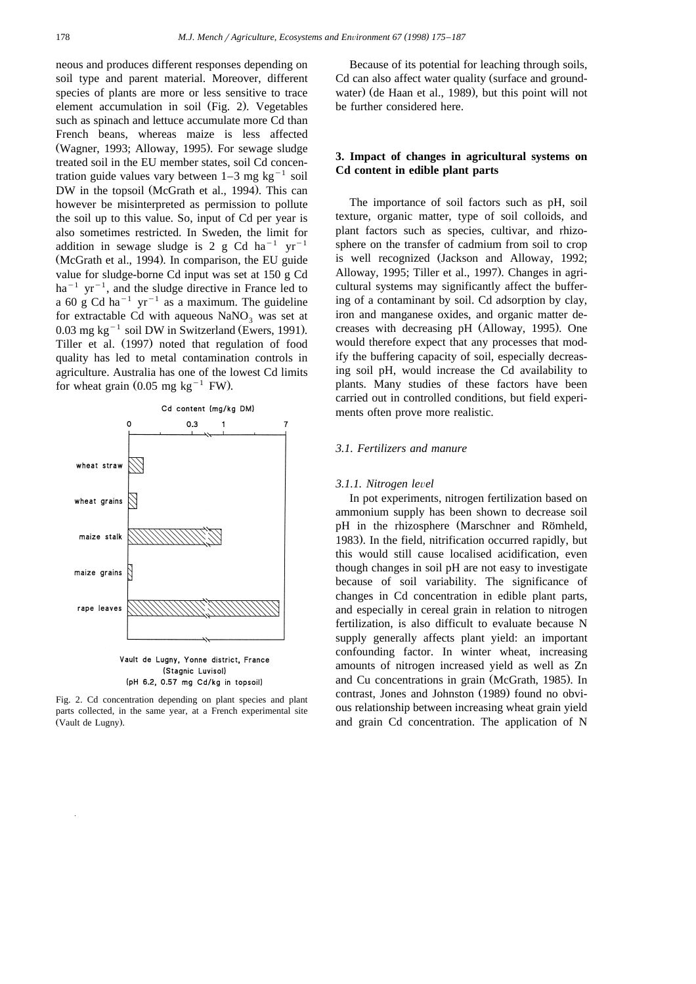neous and produces different responses depending on soil type and parent material. Moreover, different species of plants are more or less sensitive to trace element accumulation in soil (Fig. 2). Vegetables such as spinach and lettuce accumulate more Cd than French beans, whereas maize is less affected (Wagner, 1993; Alloway, 1995). For sewage sludge treated soil in the EU member states, soil Cd concentration guide values vary between  $1-3$  mg kg<sup>-1</sup> soil DW in the topsoil (McGrath et al., 1994). This can however be misinterpreted as permission to pollute the soil up to this value. So, input of Cd per year is also sometimes restricted. In Sweden, the limit for addition in sewage sludge is 2 g Cd ha<sup>-1</sup> yr<sup>-1</sup> (McGrath et al., 1994). In comparison, the EU guide value for sludge-borne Cd input was set at 150 g Cd  $ha^{-1}$  yr<sup>-1</sup>, and the sludge directive in France led to a 60 g Cd ha<sup>-1</sup> yr<sup>-1</sup> as a maximum. The guideline<br>for extractable Cd with aqueous NaNO<sub>3</sub> was set at  $0.03$  mg kg<sup>-1</sup> soil DW in Switzerland (Ewers, 1991). Tiller et al. (1997) noted that regulation of food quality has led to metal contamination controls in agriculture. Australia has one of the lowest Cd limits for wheat grain  $(0.05 \text{ mg kg}^{-1} \text{FW})$ .



(Stagnic Luvisol) (pH 6.2, 0.57 mg Cd/kg in topsoil)

Fig. 2. Cd concentration depending on plant species and plant parts collected, in the same year, at a French experimental site (Vault de Lugny).

Because of its potential for leaching through soils, Cd can also affect water quality (surface and groundwater) (de Haan et al., 1989), but this point will not be further considered here.

# **3. Impact of changes in agricultural systems on Cd content in edible plant parts**

The importance of soil factors such as pH, soil texture, organic matter, type of soil colloids, and plant factors such as species, cultivar, and rhizosphere on the transfer of cadmium from soil to crop is well recognized (Jackson and Alloway, 1992; Alloway, 1995; Tiller et al., 1997). Changes in agricultural systems may significantly affect the buffering of a contaminant by soil. Cd adsorption by clay, iron and manganese oxides, and organic matter decreases with decreasing pH (Alloway, 1995). One would therefore expect that any processes that modify the buffering capacity of soil, especially decreasing soil pH, would increase the Cd availability to plants. Many studies of these factors have been carried out in controlled conditions, but field experiments often prove more realistic.

# *3.1. Fertilizers and manure*

#### *3.1.1. Nitrogen le*Õ*el*

In pot experiments, nitrogen fertilization based on ammonium supply has been shown to decrease soil pH in the rhizosphere (Marschner and Römheld, 1983). In the field, nitrification occurred rapidly, but this would still cause localised acidification, even though changes in soil pH are not easy to investigate because of soil variability. The significance of changes in Cd concentration in edible plant parts, and especially in cereal grain in relation to nitrogen fertilization, is also difficult to evaluate because N supply generally affects plant yield: an important confounding factor. In winter wheat, increasing amounts of nitrogen increased yield as well as Zn and Cu concentrations in grain (McGrath, 1985). In contrast, Jones and Johnston (1989) found no obvious relationship between increasing wheat grain yield and grain Cd concentration. The application of N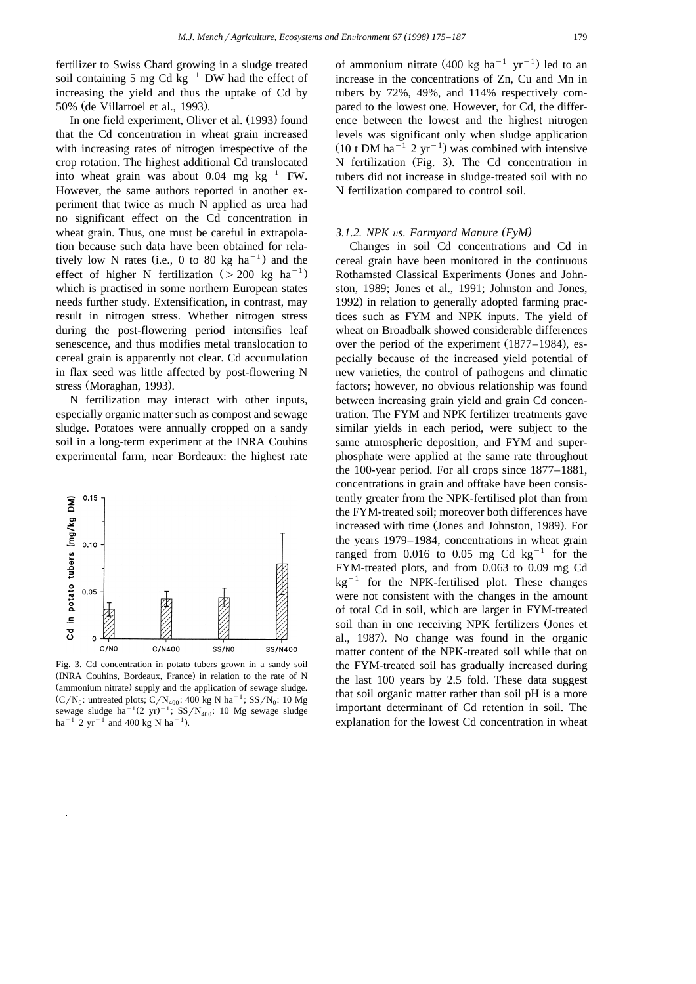fertilizer to Swiss Chard growing in a sludge treated soil containing 5 mg Cd  $kg^{-1}$  DW had the effect of increasing the yield and thus the uptake of Cd by 50% (de Villarroel et al., 1993).

In one field experiment, Oliver et al. (1993) found that the Cd concentration in wheat grain increased with increasing rates of nitrogen irrespective of the crop rotation. The highest additional Cd translocated into wheat grain was about 0.04 mg  $kg^{-1}$  FW. However, the same authors reported in another experiment that twice as much N applied as urea had no significant effect on the Cd concentration in wheat grain. Thus, one must be careful in extrapolation because such data have been obtained for relatively low N rates (i.e., 0 to 80 kg ha<sup> $-1$ </sup>) and the effect of higher N fertilization ( $> 200$  kg ha<sup>-1</sup>) which is practised in some northern European states needs further study. Extensification, in contrast, may result in nitrogen stress. Whether nitrogen stress during the post-flowering period intensifies leaf senescence, and thus modifies metal translocation to cereal grain is apparently not clear. Cd accumulation in flax seed was little affected by post-flowering N stress (Moraghan, 1993).

N fertilization may interact with other inputs, especially organic matter such as compost and sewage sludge. Potatoes were annually cropped on a sandy soil in a long-term experiment at the INRA Couhins experimental farm, near Bordeaux: the highest rate



Fig. 3. Cd concentration in potato tubers grown in a sandy soil (INRA Couhins, Bordeaux, France) in relation to the rate of N (ammonium nitrate) supply and the application of sewage sludge.  $(C/N_0$ : untreated plots;  $C/N_{400}$ : 400 kg N ha<sup>-1</sup>; SS/N<sub>0</sub>: 10 Mg sewage sludge ha<sup>-1</sup> 2 yr<sup>-1</sup> and 400 kg N ha<sup>-1</sup>).

of ammonium nitrate  $(400 \text{ kg } \text{ha}^{-1} \text{ yr}^{-1})$  led to an increase in the concentrations of Zn, Cu and Mn in tubers by 72%, 49%, and 114% respectively compared to the lowest one. However, for Cd, the difference between the lowest and the highest nitrogen levels was significant only when sludge application  $(10 \text{ t DM ha}^{-1} \text{ 2 yr}^{-1})$  was combined with intensive N fertilization (Fig. 3). The Cd concentration in tubers did not increase in sludge-treated soil with no N fertilization compared to control soil.

#### *3.1.2. NPK vs. Farmyard Manure* (*FyM*)

Changes in soil Cd concentrations and Cd in cereal grain have been monitored in the continuous Rothamsted Classical Experiments (Jones and Johnston, 1989; Jones et al., 1991; Johnston and Jones, 1992) in relation to generally adopted farming practices such as FYM and NPK inputs. The yield of wheat on Broadbalk showed considerable differences over the period of the experiment  $(1877-1984)$ , especially because of the increased yield potential of new varieties, the control of pathogens and climatic factors; however, no obvious relationship was found between increasing grain yield and grain Cd concentration. The FYM and NPK fertilizer treatments gave similar yields in each period, were subject to the same atmospheric deposition, and FYM and superphosphate were applied at the same rate throughout the 100-year period. For all crops since 1877–1881, concentrations in grain and offtake have been consistently greater from the NPK-fertilised plot than from the FYM-treated soil; moreover both differences have increased with time (Jones and Johnston, 1989). For the years 1979–1984, concentrations in wheat grain ranged from  $0.016$  to  $0.05$  mg Cd kg<sup>-1</sup> for the FYM-treated plots, and from 0.063 to 0.09 mg Cd  $kg^{-1}$  for the NPK-fertilised plot. These changes were not consistent with the changes in the amount of total Cd in soil, which are larger in FYM-treated soil than in one receiving NPK fertilizers (Jones et al., 1987). No change was found in the organic matter content of the NPK-treated soil while that on the FYM-treated soil has gradually increased during the last 100 years by 2.5 fold. These data suggest that soil organic matter rather than soil pH is a more important determinant of Cd retention in soil. The explanation for the lowest Cd concentration in wheat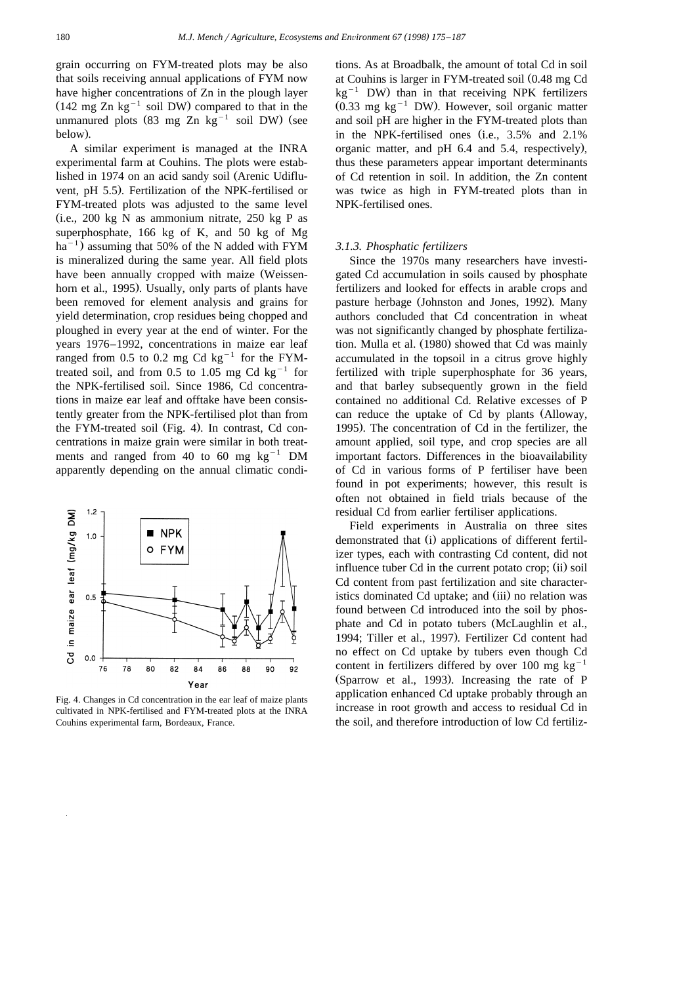grain occurring on FYM-treated plots may be also that soils receiving annual applications of FYM now have higher concentrations of Zn in the plough layer  $(142 \text{ mg Zn kg}^{-1} \text{ soil DW})$  compared to that in the unmanured plots  $(83 \text{ mg } Zn \text{ kg}^{-1} \text{ soil DW})$  (see below).

A similar experiment is managed at the INRA experimental farm at Couhins. The plots were established in 1974 on an acid sandy soil (Arenic Udifluvent, pH 5.5). Fertilization of the NPK-fertilised or FYM-treated plots was adjusted to the same level  $(i.e., 200 \text{ kg N}$  as ammonium nitrate, 250 kg P as superphosphate, 166 kg of K, and 50 kg of Mg  $ha^{-1}$ ) assuming that 50% of the N added with FYM is mineralized during the same year. All field plots have been annually cropped with maize (Weissenhorn et al., 1995). Usually, only parts of plants have been removed for element analysis and grains for yield determination, crop residues being chopped and ploughed in every year at the end of winter. For the years 1976–1992, concentrations in maize ear leaf ranged from 0.5 to 0.2 mg Cd  $kg^{-1}$  for the FYMtreated soil, and from 0.5 to 1.05 mg Cd  $kg^{-1}$  for the NPK-fertilised soil. Since 1986, Cd concentrations in maize ear leaf and offtake have been consistently greater from the NPK-fertilised plot than from the FYM-treated soil (Fig. 4). In contrast, Cd concentrations in maize grain were similar in both treatments and ranged from 40 to 60 mg  $kg^{-1}$  DM apparently depending on the annual climatic condi-



Fig. 4. Changes in Cd concentration in the ear leaf of maize plants cultivated in NPK-fertilised and FYM-treated plots at the INRA Couhins experimental farm, Bordeaux, France.

tions. As at Broadbalk, the amount of total Cd in soil at Couhins is larger in FYM-treated soil  $(0.48 \text{ mg Cd} \text{kg}^{-1} \text{DW})$  than in that receiving NPK fertilizers  $(0.33 \text{ mg kg}^{-1} \text{DW})$ . However, soil organic matter and soil pH are higher in the FYM-treated plots than in the NPK-fertilised ones (i.e.,  $3.5\%$  and  $2.1\%$ organic matter, and  $pH$  6.4 and 5.4, respectively), thus these parameters appear important determinants of Cd retention in soil. In addition, the Zn content was twice as high in FYM-treated plots than in NPK-fertilised ones.

#### *3.1.3. Phosphatic fertilizers*

Since the 1970s many researchers have investigated Cd accumulation in soils caused by phosphate fertilizers and looked for effects in arable crops and pasture herbage (Johnston and Jones, 1992). Many authors concluded that Cd concentration in wheat was not significantly changed by phosphate fertilization. Mulla et al. (1980) showed that Cd was mainly accumulated in the topsoil in a citrus grove highly fertilized with triple superphosphate for 36 years, and that barley subsequently grown in the field contained no additional Cd. Relative excesses of P can reduce the uptake of Cd by plants (Alloway, 1995). The concentration of Cd in the fertilizer, the amount applied, soil type, and crop species are all important factors. Differences in the bioavailability of Cd in various forms of P fertiliser have been found in pot experiments; however, this result is often not obtained in field trials because of the residual Cd from earlier fertiliser applications.

Field experiments in Australia on three sites demonstrated that (i) applications of different fertilizer types, each with contrasting Cd content, did not influence tuber Cd in the current potato crop; (ii) soil Cd content from past fertilization and site characteristics dominated Cd uptake; and (iii) no relation was found between Cd introduced into the soil by phosphate and Cd in potato tubers (McLaughlin et al., 1994; Tiller et al., 1997). Fertilizer Cd content had no effect on Cd uptake by tubers even though Cd content in fertilizers differed by over 100 mg  $kg^{-1}$ (Sparrow et al., 1993). Increasing the rate of P application enhanced Cd uptake probably through an increase in root growth and access to residual Cd in the soil, and therefore introduction of low Cd fertiliz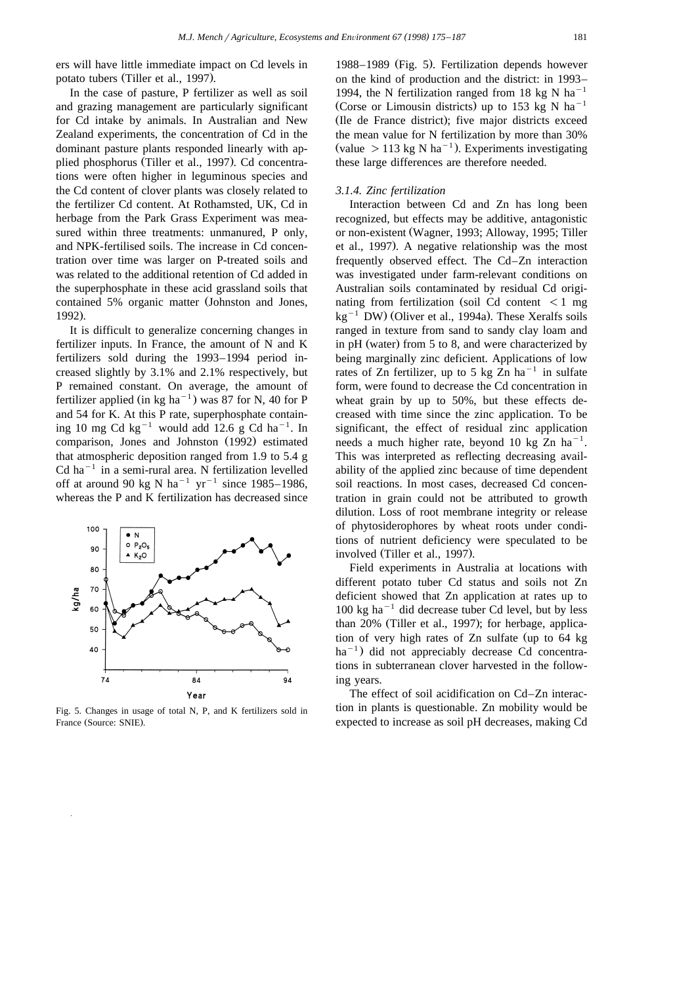ers will have little immediate impact on Cd levels in potato tubers (Tiller et al., 1997).

In the case of pasture, P fertilizer as well as soil and grazing management are particularly significant for Cd intake by animals. In Australian and New Zealand experiments, the concentration of Cd in the dominant pasture plants responded linearly with applied phosphorus (Tiller et al., 1997). Cd concentrations were often higher in leguminous species and the Cd content of clover plants was closely related to the fertilizer Cd content. At Rothamsted, UK, Cd in herbage from the Park Grass Experiment was measured within three treatments: unmanured, P only, and NPK-fertilised soils. The increase in Cd concentration over time was larger on P-treated soils and was related to the additional retention of Cd added in the superphosphate in these acid grassland soils that contained 5% organic matter (Johnston and Jones, 1992).

It is difficult to generalize concerning changes in fertilizer inputs. In France, the amount of N and K fertilizers sold during the 1993–1994 period increased slightly by 3.1% and 2.1% respectively, but P remained constant. On average, the amount of fertilizer applied (in kg ha<sup> $-1$ </sup>) was 87 for N, 40 for P and 54 for K. At this P rate, superphosphate containing 10 mg Cd  $\text{kg}^{-1}$  would add 12.6 g Cd ha<sup>-1</sup>. In comparison, Jones and Johnston (1992) estimated that atmospheric deposition ranged from 1.9 to 5.4 g  $Cd$  ha<sup>-1</sup> in a semi-rural area. N fertilization levelled off at around 90 kg N ha<sup>-1</sup> yr<sup>-1</sup> since 1985–1986, whereas the P and K fertilization has decreased since



Fig. 5. Changes in usage of total N, P, and K fertilizers sold in France (Source: SNIE).

1988–1989 (Fig. 5). Fertilization depends however on the kind of production and the district: in 1993– 1994, the N fertilization ranged from 18 kg N ha<sup>-1</sup> (Corse or Limousin districts) up to 153 kg N ha<sup>-1</sup> (Ile de France district); five major districts exceed the mean value for N fertilization by more than 30% (value  $> 113$  kg N ha<sup>-1</sup>). Experiments investigating these large differences are therefore needed.

# *3.1.4. Zinc fertilization*

Interaction between Cd and Zn has long been recognized, but effects may be additive, antagonistic or non-existent Wagner, 1993; Alloway, 1995; Tiller Ž et al., 1997). A negative relationship was the most frequently observed effect. The Cd–Zn interaction was investigated under farm-relevant conditions on Australian soils contaminated by residual Cd originating from fertilization (soil Cd content  $\leq 1$  mg kg<sup>-1</sup> DW) (Oliver et al., 1994a). These Xeralfs soils ranged in texture from sand to sandy clay loam and in pH (water) from 5 to 8, and were characterized by being marginally zinc deficient. Applications of low rates of Zn fertilizer, up to 5 kg Zn  $ha^{-1}$  in sulfate form, were found to decrease the Cd concentration in wheat grain by up to 50%, but these effects decreased with time since the zinc application. To be significant, the effect of residual zinc application needs a much higher rate, beyond 10 kg  $\overline{Z}$ n ha<sup>-1</sup>. This was interpreted as reflecting decreasing availability of the applied zinc because of time dependent soil reactions. In most cases, decreased Cd concentration in grain could not be attributed to growth dilution. Loss of root membrane integrity or release of phytosiderophores by wheat roots under conditions of nutrient deficiency were speculated to be involved (Tiller et al., 1997).

Field experiments in Australia at locations with different potato tuber Cd status and soils not Zn deficient showed that Zn application at rates up to  $100 \text{ kg}$  ha<sup>-1</sup> did decrease tuber Cd level, but by less than  $20\%$  (Tiller et al., 1997); for herbage, application of very high rates of Zn sulfate (up to 64 kg  $ha^{-1}$ ) did not appreciably decrease Cd concentrations in subterranean clover harvested in the following years.

The effect of soil acidification on Cd–Zn interaction in plants is questionable. Zn mobility would be expected to increase as soil pH decreases, making Cd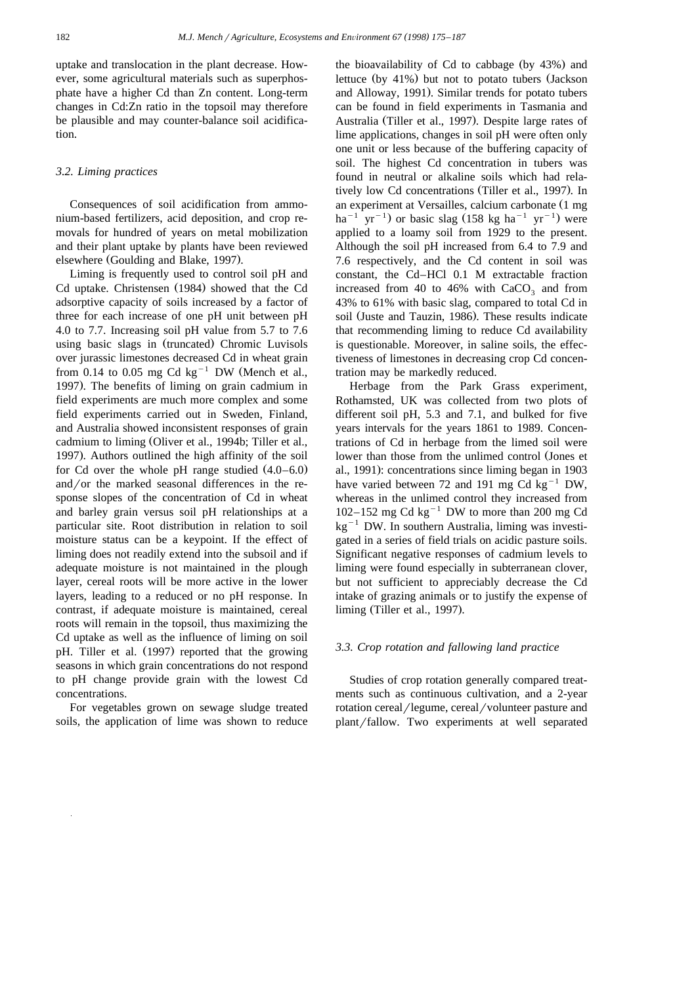uptake and translocation in the plant decrease. However, some agricultural materials such as superphosphate have a higher Cd than Zn content. Long-term changes in Cd:Zn ratio in the topsoil may therefore be plausible and may counter-balance soil acidification.

## *3.2. Liming practices*

Consequences of soil acidification from ammonium-based fertilizers, acid deposition, and crop removals for hundred of years on metal mobilization and their plant uptake by plants have been reviewed elsewhere (Goulding and Blake, 1997).

Liming is frequently used to control soil pH and Cd uptake. Christensen (1984) showed that the Cd adsorptive capacity of soils increased by a factor of three for each increase of one pH unit between pH 4.0 to 7.7. Increasing soil pH value from 5.7 to 7.6 using basic slags in (truncated) Chromic Luvisols over jurassic limestones decreased Cd in wheat grain from 0.14 to 0.05 mg Cd kg<sup>-1</sup> DW (Mench et al., 1997). The benefits of liming on grain cadmium in field experiments are much more complex and some field experiments carried out in Sweden, Finland, and Australia showed inconsistent responses of grain cadmium to liming (Oliver et al., 1994b; Tiller et al., 1997). Authors outlined the high affinity of the soil for Cd over the whole pH range studied  $(4.0-6.0)$ and/or the marked seasonal differences in the response slopes of the concentration of Cd in wheat and barley grain versus soil pH relationships at a particular site. Root distribution in relation to soil moisture status can be a keypoint. If the effect of liming does not readily extend into the subsoil and if adequate moisture is not maintained in the plough layer, cereal roots will be more active in the lower layers, leading to a reduced or no pH response. In contrast, if adequate moisture is maintained, cereal roots will remain in the topsoil, thus maximizing the Cd uptake as well as the influence of liming on soil pH. Tiller et al. (1997) reported that the growing seasons in which grain concentrations do not respond to pH change provide grain with the lowest Cd concentrations.

For vegetables grown on sewage sludge treated soils, the application of lime was shown to reduce the bioavailability of Cd to cabbage (by  $43\%$ ) and lettuce (by  $41\%$ ) but not to potato tubers (Jackson and Alloway, 1991). Similar trends for potato tubers can be found in field experiments in Tasmania and Australia (Tiller et al., 1997). Despite large rates of lime applications, changes in soil pH were often only one unit or less because of the buffering capacity of soil. The highest Cd concentration in tubers was found in neutral or alkaline soils which had relatively low Cd concentrations (Tiller et al., 1997). In an experiment at Versailles, calcium carbonate (1 mg ha<sup>-1</sup> yr<sup>-1</sup>) or basic slag (158 kg ha<sup>-1</sup> yr<sup>-1</sup>) were applied to a loamy soil from 1929 to the present. Although the soil pH increased from 6.4 to 7.9 and 7.6 respectively, and the Cd content in soil was constant, the Cd–HCl 0.1 M extractable fraction increased from 40 to 46% with  $CaCO<sub>3</sub>$  and from 43% to 61% with basic slag, compared to total Cd in soil (Juste and Tauzin, 1986). These results indicate that recommending liming to reduce Cd availability is questionable. Moreover, in saline soils, the effectiveness of limestones in decreasing crop Cd concentration may be markedly reduced.

Herbage from the Park Grass experiment, Rothamsted, UK was collected from two plots of different soil pH, 5.3 and 7.1, and bulked for five years intervals for the years 1861 to 1989. Concentrations of Cd in herbage from the limed soil were lower than those from the unlimed control (Jones et al., 1991): concentrations since liming began in 1903 have varied between 72 and 191 mg Cd  $kg^{-1}$  DW, whereas in the unlimed control they increased from 102–152 mg Cd kg<sup>-1</sup> DW to more than 200 mg Cd  $kg^{-1}$  DW. In southern Australia, liming was investigated in a series of field trials on acidic pasture soils. Significant negative responses of cadmium levels to liming were found especially in subterranean clover, but not sufficient to appreciably decrease the Cd intake of grazing animals or to justify the expense of liming (Tiller et al., 1997).

# *3.3. Crop rotation and fallowing land practice*

Studies of crop rotation generally compared treatments such as continuous cultivation, and a 2-year rotation cereal/legume, cereal/volunteer pasture and plant/fallow. Two experiments at well separated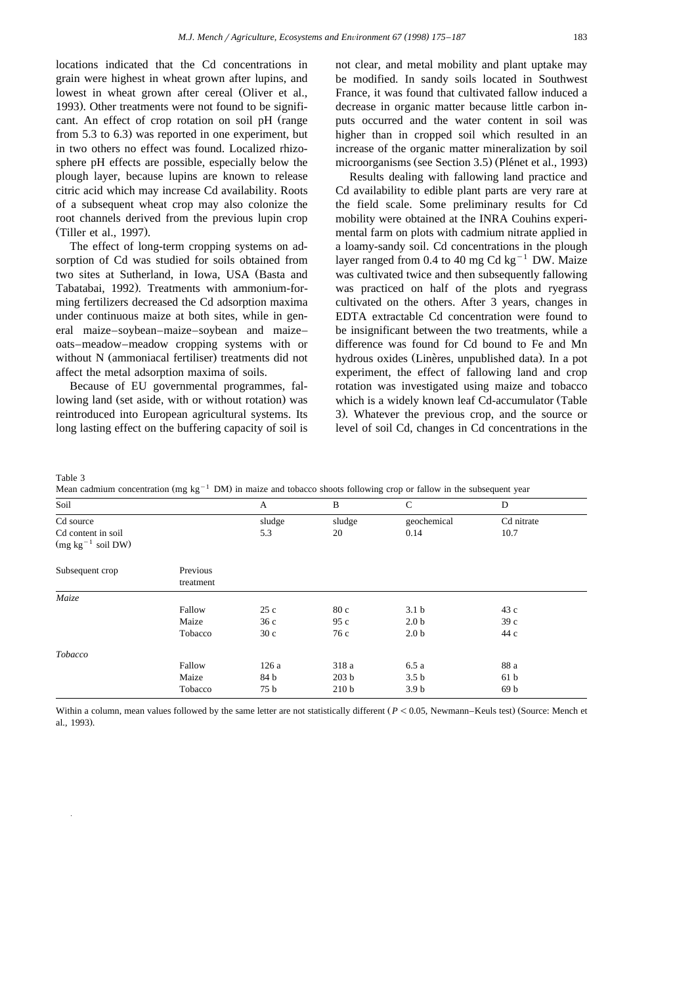locations indicated that the Cd concentrations in grain were highest in wheat grown after lupins, and lowest in wheat grown after cereal (Oliver et al., 1993). Other treatments were not found to be significant. An effect of crop rotation on soil pH (range from  $5.3$  to  $6.3$ ) was reported in one experiment, but in two others no effect was found. Localized rhizosphere pH effects are possible, especially below the plough layer, because lupins are known to release citric acid which may increase Cd availability. Roots of a subsequent wheat crop may also colonize the root channels derived from the previous lupin crop (Tiller et al., 1997).

The effect of long-term cropping systems on adsorption of Cd was studied for soils obtained from two sites at Sutherland, in Iowa, USA (Basta and Tabatabai, 1992). Treatments with ammonium-forming fertilizers decreased the Cd adsorption maxima under continuous maize at both sites, while in general maize–soybean–maize–soybean and maize– oats–meadow–meadow cropping systems with or without N (ammoniacal fertiliser) treatments did not affect the metal adsorption maxima of soils.

Because of EU governmental programmes, fallowing land (set aside, with or without rotation) was reintroduced into European agricultural systems. Its long lasting effect on the buffering capacity of soil is not clear, and metal mobility and plant uptake may be modified. In sandy soils located in Southwest France, it was found that cultivated fallow induced a decrease in organic matter because little carbon inputs occurred and the water content in soil was higher than in cropped soil which resulted in an increase of the organic matter mineralization by soil microorganisms (see Section 3.5) (Plénet et al., 1993)

Results dealing with fallowing land practice and Cd availability to edible plant parts are very rare at the field scale. Some preliminary results for Cd mobility were obtained at the INRA Couhins experimental farm on plots with cadmium nitrate applied in a loamy-sandy soil. Cd concentrations in the plough layer ranged from 0.4 to 40 mg Cd  $kg^{-1}$  DW. Maize was cultivated twice and then subsequently fallowing was practiced on half of the plots and ryegrass cultivated on the others. After 3 years, changes in EDTA extractable Cd concentration were found to be insignificant between the two treatments, while a difference was found for Cd bound to Fe and Mn hydrous oxides (Linères, unpublished data). In a pot experiment, the effect of fallowing land and crop rotation was investigated using maize and tobacco which is a widely known leaf Cd-accumulator (Table 3). Whatever the previous crop, and the source or level of soil Cd, changes in Cd concentrations in the

Table 3

Mean cadmium concentration (mg kg<sup>-1</sup> DM) in maize and tobacco shoots following crop or fallow in the subsequent year

| Soil                                         |                       | A      | $\, {\bf B}$     | $\mathbf C$      | D               |
|----------------------------------------------|-----------------------|--------|------------------|------------------|-----------------|
| Cd source                                    |                       | sludge | sludge           | geochemical      | Cd nitrate      |
| Cd content in soil<br>$(mg kg^{-1} soil DW)$ |                       | 5.3    | 20               | 0.14             | 10.7            |
| Subsequent crop                              | Previous<br>treatment |        |                  |                  |                 |
| Maize                                        |                       |        |                  |                  |                 |
|                                              | Fallow                | 25c    | 80 c             | 3.1 <sub>b</sub> | 43 c            |
|                                              | Maize                 | 36c    | 95c              | 2.0 <sub>b</sub> | 39c             |
|                                              | Tobacco               | 30c    | 76 c             | 2.0 <sub>b</sub> | 44 c            |
| Tobacco                                      |                       |        |                  |                  |                 |
|                                              | Fallow                | 126 a  | 318 a            | 6.5 a            | 88 a            |
|                                              | Maize                 | 84 b   | 203 <sub>b</sub> | 3.5 <sub>b</sub> | 61 <sub>b</sub> |
|                                              | Tobacco               | 75 b   | 210 <sub>b</sub> | 3.9 <sub>b</sub> | 69 <sub>b</sub> |

Within a column, mean values followed by the same letter are not statistically different  $(P < 0.05$ , Newmann–Keuls test) (Source: Mench et al., 1993).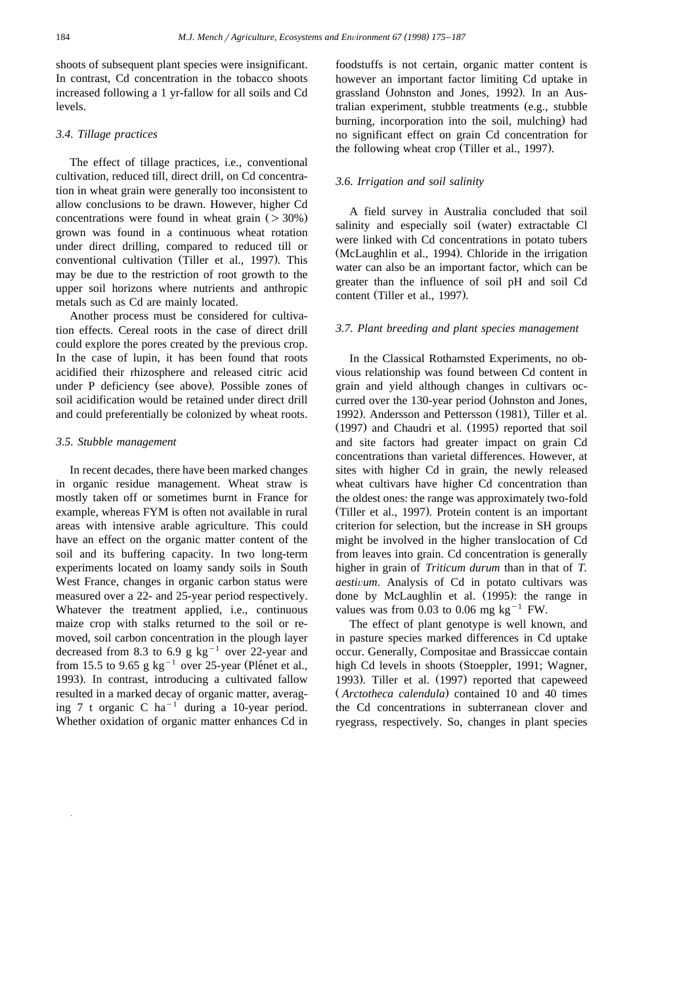shoots of subsequent plant species were insignificant. In contrast, Cd concentration in the tobacco shoots increased following a 1 yr-fallow for all soils and Cd levels.

#### *3.4. Tillage practices*

The effect of tillage practices, i.e., conventional cultivation, reduced till, direct drill, on Cd concentration in wheat grain were generally too inconsistent to allow conclusions to be drawn. However, higher Cd concentrations were found in wheat grain  $($  > 30%) grown was found in a continuous wheat rotation under direct drilling, compared to reduced till or conventional cultivation (Tiller et al., 1997). This may be due to the restriction of root growth to the upper soil horizons where nutrients and anthropic metals such as Cd are mainly located.

Another process must be considered for cultivation effects. Cereal roots in the case of direct drill could explore the pores created by the previous crop. In the case of lupin, it has been found that roots acidified their rhizosphere and released citric acid under P deficiency (see above). Possible zones of soil acidification would be retained under direct drill and could preferentially be colonized by wheat roots.

#### *3.5. Stubble management*

In recent decades, there have been marked changes in organic residue management. Wheat straw is mostly taken off or sometimes burnt in France for example, whereas FYM is often not available in rural areas with intensive arable agriculture. This could have an effect on the organic matter content of the soil and its buffering capacity. In two long-term experiments located on loamy sandy soils in South West France, changes in organic carbon status were measured over a 22- and 25-year period respectively. Whatever the treatment applied, i.e., continuous maize crop with stalks returned to the soil or removed, soil carbon concentration in the plough layer decreased from 8.3 to 6.9 g kg<sup>-1</sup> over 22-year and from 15.5 to 9.65 g kg<sup>-1</sup> over 25-year (Plénet et al., 1993). In contrast, introducing a cultivated fallow resulted in a marked decay of organic matter, averaging 7 t organic C ha<sup> $-1$ </sup> during a 10-year period. Whether oxidation of organic matter enhances Cd in

foodstuffs is not certain, organic matter content is however an important factor limiting Cd uptake in grassland (Johnston and Jones, 1992). In an Australian experiment, stubble treatments  $(e.g., stubble)$ burning, incorporation into the soil, mulching) had no significant effect on grain Cd concentration for the following wheat crop (Tiller et al., 1997).

# *3.6. Irrigation and soil salinity*

A field survey in Australia concluded that soil salinity and especially soil (water) extractable Cl were linked with Cd concentrations in potato tubers (McLaughlin et al., 1994). Chloride in the irrigation water can also be an important factor, which can be greater than the influence of soil pH and soil Cd content (Tiller et al., 1997).

# *3.7. Plant breeding and plant species management*

In the Classical Rothamsted Experiments, no obvious relationship was found between Cd content in grain and yield although changes in cultivars occurred over the 130-year period (Johnston and Jones, 1992). Andersson and Pettersson (1981), Tiller et al.  $(1997)$  and Chaudri et al.  $(1995)$  reported that soil and site factors had greater impact on grain Cd concentrations than varietal differences. However, at sites with higher Cd in grain, the newly released wheat cultivars have higher Cd concentration than the oldest ones: the range was approximately two-fold (Tiller et al., 1997). Protein content is an important criterion for selection, but the increase in SH groups might be involved in the higher translocation of Cd from leaves into grain. Cd concentration is generally higher in grain of *Triticum durum* than in that of *T. aestivum*. Analysis of Cd in potato cultivars was done by McLaughlin et al. (1995): the range in values was from 0.03 to 0.06 mg  $kg^{-1}$  FW.

The effect of plant genotype is well known, and in pasture species marked differences in Cd uptake occur. Generally, Compositae and Brassiccae contain high Cd levels in shoots (Stoeppler, 1991; Wagner, 1993). Tiller et al. (1997) reported that capeweed (Arctotheca calendula) contained 10 and 40 times the Cd concentrations in subterranean clover and ryegrass, respectively. So, changes in plant species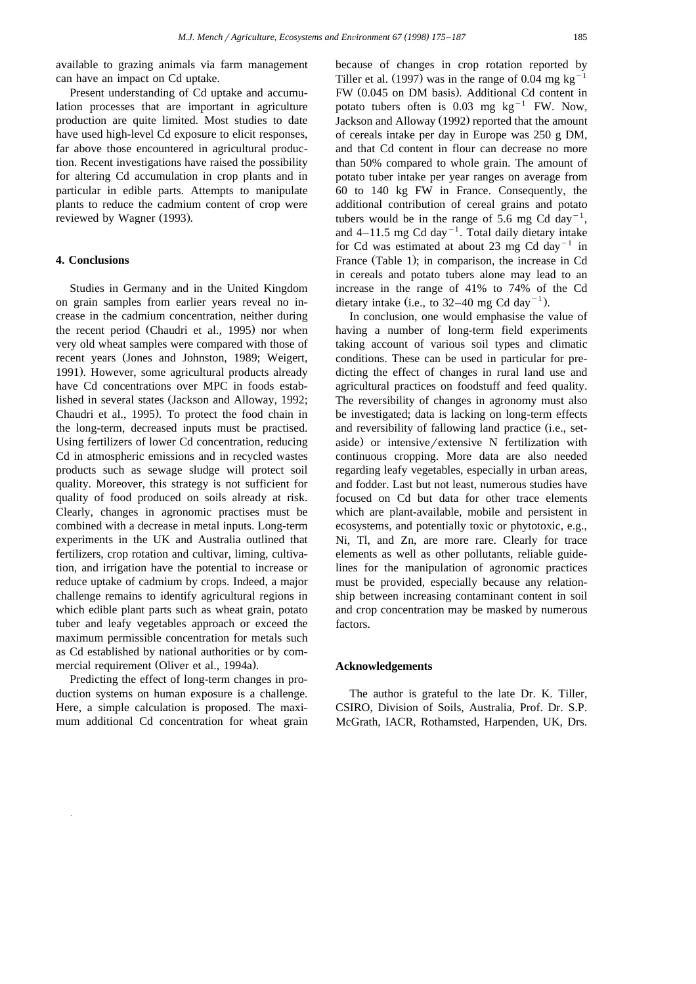available to grazing animals via farm management can have an impact on Cd uptake.

Present understanding of Cd uptake and accumulation processes that are important in agriculture production are quite limited. Most studies to date have used high-level Cd exposure to elicit responses, far above those encountered in agricultural production. Recent investigations have raised the possibility for altering Cd accumulation in crop plants and in particular in edible parts. Attempts to manipulate plants to reduce the cadmium content of crop were reviewed by Wagner (1993).

# **4. Conclusions**

Studies in Germany and in the United Kingdom on grain samples from earlier years reveal no increase in the cadmium concentration, neither during the recent period (Chaudri et al., 1995) nor when very old wheat samples were compared with those of recent years (Jones and Johnston, 1989; Weigert, 1991). However, some agricultural products already have Cd concentrations over MPC in foods established in several states (Jackson and Alloway, 1992; Chaudri et al., 1995). To protect the food chain in the long-term, decreased inputs must be practised. Using fertilizers of lower Cd concentration, reducing Cd in atmospheric emissions and in recycled wastes products such as sewage sludge will protect soil quality. Moreover, this strategy is not sufficient for quality of food produced on soils already at risk. Clearly, changes in agronomic practises must be combined with a decrease in metal inputs. Long-term experiments in the UK and Australia outlined that fertilizers, crop rotation and cultivar, liming, cultivation, and irrigation have the potential to increase or reduce uptake of cadmium by crops. Indeed, a major challenge remains to identify agricultural regions in which edible plant parts such as wheat grain, potato tuber and leafy vegetables approach or exceed the maximum permissible concentration for metals such as Cd established by national authorities or by commercial requirement (Oliver et al., 1994a).

Predicting the effect of long-term changes in production systems on human exposure is a challenge. Here, a simple calculation is proposed. The maximum additional Cd concentration for wheat grain

because of changes in crop rotation reported by Tiller et al. (1997) was in the range of 0.04 mg kg<sup>-</sup> FW (0.045 on DM basis). Additional Cd content in potato tubers often is  $0.03 \text{ mg} \text{ kg}^{-1}$  FW. Now, Jackson and Alloway (1992) reported that the amount of cereals intake per day in Europe was 250 g DM, and that Cd content in flour can decrease no more than 50% compared to whole grain. The amount of potato tuber intake per year ranges on average from 60 to 140 kg FW in France. Consequently, the additional contribution of cereal grains and potato tubers would be in the range of 5.6 mg Cd day<sup>-1</sup>, and  $4-11.5$  mg Cd day<sup>-1</sup>. Total daily dietary intake for Cd was estimated at about 23 mg Cd day<sup>-1</sup> in France (Table 1); in comparison, the increase in Cd in cereals and potato tubers alone may lead to an increase in the range of 41% to 74% of the Cd dietary intake (i.e., to 32–40 mg Cd day<sup>-1</sup>).

In conclusion, one would emphasise the value of having a number of long-term field experiments taking account of various soil types and climatic conditions. These can be used in particular for predicting the effect of changes in rural land use and agricultural practices on foodstuff and feed quality. The reversibility of changes in agronomy must also be investigated; data is lacking on long-term effects and reversibility of fallowing land practice (i.e., setaside) or intensive/extensive  $N$  fertilization with continuous cropping. More data are also needed regarding leafy vegetables, especially in urban areas, and fodder. Last but not least, numerous studies have focused on Cd but data for other trace elements which are plant-available, mobile and persistent in ecosystems, and potentially toxic or phytotoxic, e.g., Ni, Tl, and Zn, are more rare. Clearly for trace elements as well as other pollutants, reliable guidelines for the manipulation of agronomic practices must be provided, especially because any relationship between increasing contaminant content in soil and crop concentration may be masked by numerous factors.

#### **Acknowledgements**

The author is grateful to the late Dr. K. Tiller, CSIRO, Division of Soils, Australia, Prof. Dr. S.P. McGrath, IACR, Rothamsted, Harpenden, UK, Drs.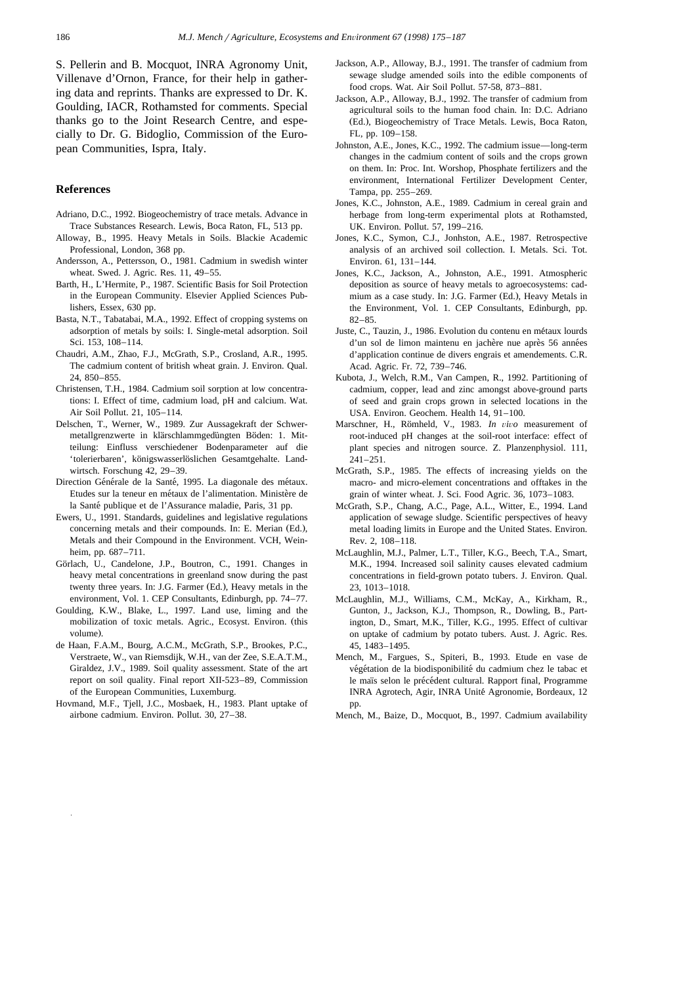#### **References**

- Adriano, D.C., 1992. Biogeochemistry of trace metals. Advance in Trace Substances Research. Lewis, Boca Raton, FL, 513 pp.
- Alloway, B., 1995. Heavy Metals in Soils. Blackie Academic Professional, London, 368 pp.
- Andersson, A., Pettersson, O., 1981. Cadmium in swedish winter wheat. Swed. J. Agric. Res. 11, 49–55.
- Barth, H., L'Hermite, P., 1987. Scientific Basis for Soil Protection in the European Community. Elsevier Applied Sciences Publishers, Essex, 630 pp.
- Basta, N.T., Tabatabai, M.A., 1992. Effect of cropping systems on adsorption of metals by soils: I. Single-metal adsorption. Soil Sci. 153, 108–114.
- Chaudri, A.M., Zhao, F.J., McGrath, S.P., Crosland, A.R., 1995. The cadmium content of british wheat grain. J. Environ. Qual. 24, 850–855.
- Christensen, T.H., 1984. Cadmium soil sorption at low concentrations: I. Effect of time, cadmium load, pH and calcium. Wat. Air Soil Pollut. 21, 105–114.
- Delschen, T., Werner, W., 1989. Zur Aussagekraft der Schwermetallgrenzwerte in klärschlammgedüngten Böden: 1. Mitteilung: Einfluss verschiedener Bodenparameter auf die 'tolerierbaren', königswasserlöslichen Gesamtgehalte. Landwirtsch. Forschung 42, 29–39.
- Direction Générale de la Santé, 1995. La diagonale des métaux. Etudes sur la teneur en métaux de l'alimentation. Ministère de la Santé publique et de l'Assurance maladie, Paris, 31 pp.
- Ewers, U., 1991. Standards, guidelines and legislative regulations concerning metals and their compounds. In: E. Merian (Ed.), Metals and their Compound in the Environment. VCH, Weinheim, pp. 687–711.
- Görlach, U., Candelone, J.P., Boutron, C., 1991. Changes in heavy metal concentrations in greenland snow during the past twenty three years. In: J.G. Farmer (Ed.), Heavy metals in the environment, Vol. 1. CEP Consultants, Edinburgh, pp. 74–77.
- Goulding, K.W., Blake, L., 1997. Land use, liming and the mobilization of toxic metals. Agric., Ecosyst. Environ. (this volume).
- de Haan, F.A.M., Bourg, A.C.M., McGrath, S.P., Brookes, P.C., Verstraete, W., van Riemsdijk, W.H., van der Zee, S.E.A.T.M., Giraldez, J.V., 1989. Soil quality assessment. State of the art report on soil quality. Final report XII-523–89, Commission of the European Communities, Luxemburg.
- Hovmand, M.F., Tjell, J.C., Mosbaek, H., 1983. Plant uptake of airbone cadmium. Environ. Pollut. 30, 27–38.
- Jackson, A.P., Alloway, B.J., 1991. The transfer of cadmium from sewage sludge amended soils into the edible components of food crops. Wat. Air Soil Pollut. 57-58, 873–881.
- Jackson, A.P., Alloway, B.J., 1992. The transfer of cadmium from agricultural soils to the human food chain. In: D.C. Adriano (Ed.), Biogeochemistry of Trace Metals. Lewis, Boca Raton, FL, pp. 109–158.
- Johnston, A.E., Jones, K.C., 1992. The cadmium issue—long-term changes in the cadmium content of soils and the crops grown on them. In: Proc. Int. Worshop, Phosphate fertilizers and the environment, International Fertilizer Development Center, Tampa, pp. 255–269.
- Jones, K.C., Johnston, A.E., 1989. Cadmium in cereal grain and herbage from long-term experimental plots at Rothamsted, UK. Environ. Pollut. 57, 199–216.
- Jones, K.C., Symon, C.J., Jonhston, A.E., 1987. Retrospective analysis of an archived soil collection. I. Metals. Sci. Tot. Environ. 61, 131–144.
- Jones, K.C., Jackson, A., Johnston, A.E., 1991. Atmospheric deposition as source of heavy metals to agroecosystems: cadmium as a case study. In: J.G. Farmer (Ed.), Heavy Metals in the Environment, Vol. 1. CEP Consultants, Edinburgh, pp. 82–85.
- Juste, C., Tauzin, J., 1986. Evolution du contenu en métaux lourds d'un sol de limon maintenu en jachère nue après 56 années d'application continue de divers engrais et amendements. C.R. Acad. Agric. Fr. 72, 739–746.
- Kubota, J., Welch, R.M., Van Campen, R., 1992. Partitioning of cadmium, copper, lead and zinc amongst above-ground parts of seed and grain crops grown in selected locations in the USA. Environ. Geochem. Health 14, 91–100.
- Marschner, H., Römheld, V., 1983. In vivo measurement of root-induced pH changes at the soil-root interface: effect of plant species and nitrogen source. Z. Planzenphysiol. 111, 241–251.
- McGrath, S.P., 1985. The effects of increasing yields on the macro- and micro-element concentrations and offtakes in the grain of winter wheat. J. Sci. Food Agric. 36, 1073–1083.
- McGrath, S.P., Chang, A.C., Page, A.L., Witter, E., 1994. Land application of sewage sludge. Scientific perspectives of heavy metal loading limits in Europe and the United States. Environ. Rev. 2, 108–118.
- McLaughlin, M.J., Palmer, L.T., Tiller, K.G., Beech, T.A., Smart, M.K., 1994. Increased soil salinity causes elevated cadmium concentrations in field-grown potato tubers. J. Environ. Qual. 23, 1013–1018.
- McLaughlin, M.J., Williams, C.M., McKay, A., Kirkham, R., Gunton, J., Jackson, K.J., Thompson, R., Dowling, B., Partington, D., Smart, M.K., Tiller, K.G., 1995. Effect of cultivar on uptake of cadmium by potato tubers. Aust. J. Agric. Res. 45, 1483–1495.
- Mench, M., Fargues, S., Spiteri, B., 1993. Etude en vase de végétation de la biodisponibilité du cadmium chez le tabac et le maïs selon le précédent cultural. Rapport final, Programme INRA Agrotech, Agir, INRA Unite Agronomie, Bordeaux, 12 ´ pp.
- Mench, M., Baize, D., Mocquot, B., 1997. Cadmium availability